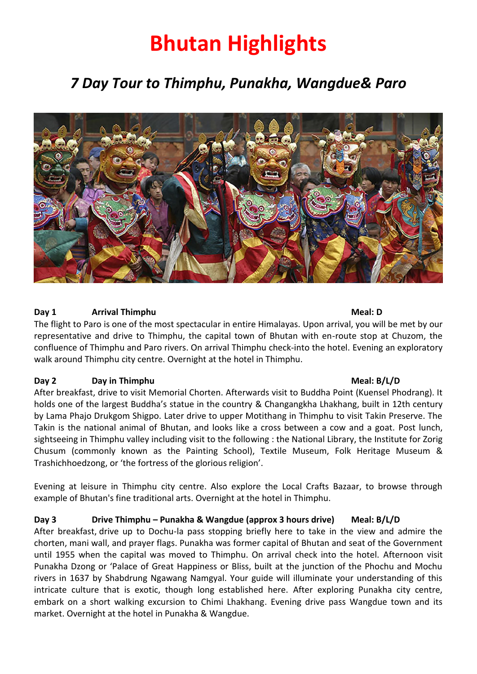# **Bhutan Highlights**

# *7 Day Tour to Thimphu, Punakha, Wangdue& Paro*



### **Day 1 Arrival Thimphu Meal: D**

The flight to Paro is one of the most spectacular in entire Himalayas. Upon arrival, you will be met by our representative and drive to Thimphu, the capital town of Bhutan with en-route stop at Chuzom, the confluence of Thimphu and Paro rivers. On arrival Thimphu check-into the hotel. Evening an exploratory walk around Thimphu city centre. Overnight at the hotel in Thimphu.

#### **Day 2 Day in Thimphu Meal: B/L/D Meal: B/L/D**

After breakfast, drive to visit Memorial Chorten. Afterwards visit to Buddha Point (Kuensel Phodrang). It holds one of the largest Buddha's statue in the country & Changangkha Lhakhang, built in 12th century by Lama Phajo Drukgom Shigpo. Later drive to upper Motithang in Thimphu to visit Takin Preserve. The Takin is the national animal of Bhutan, and looks like a cross between a cow and a goat. Post lunch, sightseeing in Thimphu valley including visit to the following : the National Library, the Institute for Zorig Chusum (commonly known as the Painting School), Textile Museum, Folk Heritage Museum & Trashichhoedzong, or 'the fortress of the glorious religion'.

Evening at leisure in Thimphu city centre. Also explore the Local Crafts Bazaar, to browse through example of Bhutan's fine traditional arts. Overnight at the hotel in Thimphu.

**Day 3 Drive Thimphu – Punakha & Wangdue (approx 3 hours drive) Meal: B/L/D**

After breakfast, drive up to Dochu-la pass stopping briefly here to take in the view and admire the chorten, mani wall, and prayer flags. Punakha was former capital of Bhutan and seat of the Government until 1955 when the capital was moved to Thimphu. On arrival check into the hotel. Afternoon visit Punakha Dzong or 'Palace of Great Happiness or Bliss, built at the junction of the Phochu and Mochu rivers in 1637 by Shabdrung Ngawang Namgyal. Your guide will illuminate your understanding of this intricate culture that is exotic, though long established here. After exploring Punakha city centre, embark on a short walking excursion to Chimi Lhakhang. Evening drive pass Wangdue town and its market. Overnight at the hotel in Punakha & Wangdue.